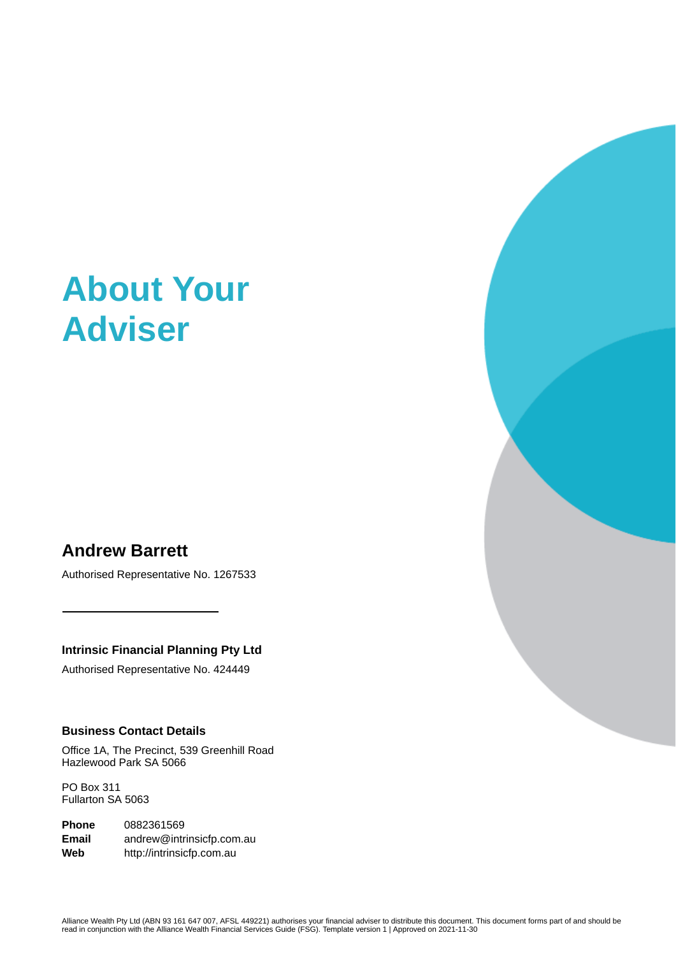# **About Your Adviser**

# **Andrew Barrett**

Authorised Representative No. 1267533

**Intrinsic Financial Planning Pty Ltd**

Authorised Representative No. 424449

# **Business Contact Details**

Office 1A, The Precinct, 539 Greenhill Road Hazlewood Park SA 5066

PO Box 311 Fullarton SA 5063

**Phone** 0882361569 **Email** andrew@intrinsicfp.com.au **Web** http://intrinsicfp.com.au